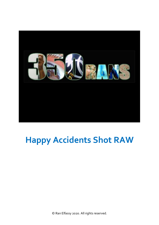

## **Happy Accidents Shot RAW**

© Ran Elfassy 2020. All rights reserved.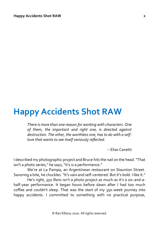## **Happy Accidents Shot RAW**

*There is more than one reason for working with characters. One of them, the important and right one, is directed against destruction. The other, the worthless one, has to do with a selflove that wants to see itself variously reflected.* 

– Elias Canetti

I described my photographic project and Bruce hits the nail on the head. "That isn't a photo series," he says, "it's is a performance."

We're at La Pampa, an Argentinean restaurant on Staunton Street. Savoring a bite, he chuckles. "It's vain and self-centered. But it's bold. I like it."

He's right, *350 Rans* isn't a photo project as much as it's a six-and-ahalf-year performance. It began hours before dawn after I had too much coffee and couldn't sleep. That was the start of my 350-week journey into happy accidents. I committed to something with no practical purpose,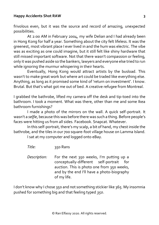frivolous even, but it was the source and record of amazing, unexpected possibilities.

At 2:00 AM in February 2004, my wife Delian and I had already been in Hong Kong for half a year. Something about the city felt lifeless. It was the greenest, most vibrant place I ever lived in and the hum was electric. The vibe was as exciting as one could imagine, but it still felt like shiny hardware that still missed important software. Not that there wasn't compassion or feeling, only it was pushed aside so the bankers, lawyers and everyone else tried to run while ignoring the murmur whispering in their hearts.

Eventually, Hong Kong would attract artists by the busload. This wasn't to make great work but where art could be traded like everything else. Anything, as long as it promised some kind of 'return on investment'. I know. Brutal. But that's what got me out of bed. A creative refugee from Montreal.

I grabbed the bathrobe, lifted my camera off the desk and tip-toed into the bathroom. I took a moment. What was there, other than me and some Ikea bathroom furnishings?

I made a photo of the mirrors on the wall. A quick self-portrait. It wasn't a *selfie*, because this was before there was such a thing. Before people's faces were hitting us from all sides. Facebook. Snapcat. Whatever.

In this self-portrait, there's my scalp, a bit of hand, my chest inside the bathrobe, and the tiles in our 700 square-foot village house on Lamma Island.

I sat at my computer and logged onto eBay.

*Title:* 350 Rans

*Description:* For the next 350 weeks, I'm putting up a conceptually-different self-portrait for auction. This is photo one from 350 weeks, and by the end I'll have a photo-biography of my life.

I don't know why I chose 350 and not something stickier like 365. My insomnia pushed for something big and that feeling typed *350*.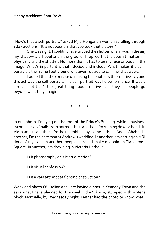\* \* \*

"How's that a self-portrait," asked M, a Hungarian woman scrolling through eBay auctions. "It is not possible that you took that picture."

She was right. I couldn't have tripped the shutter when I was in the air, my shadow a silhouette on the ground. I replied that it doesn't matter if I physically trip the shutter. No more than it has to be my face or body in the image. What's important is that I decide and include. What makes it a selfportrait is the frame I put around whatever I decide to call 'me' that week.

I added that the exercise of making the photos is the creative act, and this act was the self-portrait. The self-portrait was he performance. It was a stretch, but that's the great thing about creative acts: they let people go beyond what they imagine.

\* \* \*

In one photo, I'm lying on the roof of the Prince's Building, while a business tycoon hits golf balls from my mouth. In another, I'm running down a beach in Vietnam. In another, I'm being robbed by some kids in Addis Ababa. In another, I'm the best man at Andrew's wedding. In another, I'm getting an MRI done of my skull. In another, people stare as I make my point in Tiananmen Square. In another, I'm drowning in Victoria Harbour.

Is it photography or is it art direction?

Is it visual confession?

Is it a vain attempt at fighting destruction?

Week and photo 68. Delian and I are having dinner in Kennedy Town and she asks what I have planned for the week. I don't know, stumped with writer's block. Normally, by Wednesday night, I either had the photo or know what I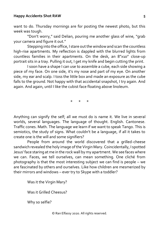## **Happy Accidents Shot RAW**

want to do. Thursday mornings are for posting the newest photo, but this week was tough.

"Don't worry," said Delian, pouring me another glass of wine, "grab your camera and figure it out."

Stepping into the office, I stare out the window and scan the countless high-rise apartments. My reflection is dappled with the blurred lights from countless families in their apartments. On the desk, an 8"x10" close-up portrait sits in a tray. Pulling it out, I get my knife and begin cutting the print.

I soon have a shape I can use to assemble a cube, each side showing a piece of my face. On one side, it's my nose and part of my eye. On another side, my ear and scalp. I toss the little box and made an exposure as the cube falls to the ground. Not happy with that accidental snapshot, I try again. And again. And again, until I like the cubist face floating above linoleum.

\* \* \*

Anything can signify the self; all we must do is name it. We live in several worlds, several languages. The language of thought. English. Cantonese. Traffic cones. Math. The language we learn if we want to speak Tango. This is semiotics, the study of signs. What couldn't be a language, if all it takes to create one is the will and some signifiers?

People from around the world discovered that a grilled-cheese sandwich revealed the holy image of the Virgin Mary. Coincidentally, I spotted Jesus' face staring at me in the rock wall by my apartment. We see faces where we can. Faces, we tell ourselves, can mean something. One cliché from photography is that the most interesting subject we can find is people – we are fascinated by others and ourselves. Like how children are mesmerized by their mirrors and windows – ever try to Skype with a toddler?

Was it the Virgin Mary?

Was it Grilled Cheesus?

Why so selfie?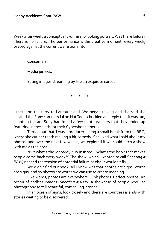Week after week, a conceptually-different-looking portrait. Was there failure? There is no failure. The performance is the creative moment, every week, braced against the current we're born into.

Consumers.

Media junkies.

Eating images streaming by like an exquisite corpse.

\* \* \*

I met J on the ferry to Lantau Island. We began talking and she said she spotted the Sony commercial on NatGeo. I chuckled and reply that it was fun, shooting the ad. Sony had found a few photographers that they ended up featuring in these ads for their Cybershot cameras.

Turned out that J was a producer taking a small break from the BBC, where she cut her teeth making a hit comedy. She liked what I said about my photos, and over the next few weeks, we explored if we could pitch a show with me as the host.

"But what's the jeopardy," Jo insisted. "What's the hook that makes people come back every week?" The show, which I wanted to call *Shooting it RAW,* needed the tension of potential failure or else it wouldn't fly.

We didn't find our hook. All I knew was that photos are signs, words are signs, and so photos are words we can use to create meaning.

Like words, photos are everywhere. Junk photos. Perfect photos. An ocean of endless images. *Shooting it RAW*, a showcase of people who use photography to tell beautiful, compelling, stories.

In an ocean of signs, look closely and there are countless islands with stories waiting to be discovered.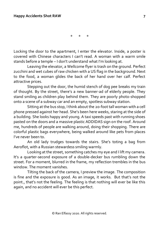\* \* \*

Locking the door to the apartment, I enter the elevator. Inside, a poster is covered with Chinese characters I can't read. A woman with a warm smile stands before a temple – I don't understand what I'm looking at.

Leaving the elevator, a Wellcome flyer is trash on the ground. Perfect zucchini and wet cubes of raw chicken with a US flag in the background. Next to the food, a woman glides the back of her hand over her calf. Perfect attractive prices.

Stepping out the door, the humid stench of dog pee breaks my train of thought. By the street, there's a new banner-ad of elderly people. They stand smiling as children play behind them. They are poorly photo-shopped onto a scene of a subway car and an empty, spotless subway station.

Sitting at the bus stop, I think about the 20-foot tall woman with a cell phone pressed against her head. She's been here weeks, staring at the side of a building. She looks happy and young. A taxi speeds past with running shoes pasted on the doors and a massive plastic ADDIDAS sign on the roof. Around me, hundreds of people are walking around, doing their shopping. There are colorful plastic bags everywhere, being walked around like pets from places I've never been to.

An old lady trudges towards the stairs. She's toting a bag from Aeroflot, with a Russian stewardess smiling warmly.

Looking at the street, something catches my eye and I lift my camera. It's a quarter-second exposure of a double-decker bus rumbling down the street. For a moment, blurred in the frame, my reflection trembles in the bus window. The moment vanishes.

Tilting the back of the camera, I preview the image. The composition is fine and the exposure is good. As an image, it works. But that's not the point., that's not the feeling. The feeling is that nothing will ever be like this again, and no accident will ever be this perfect.